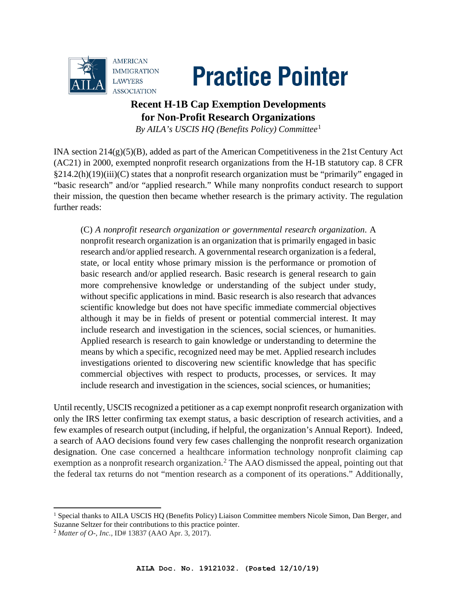



## **Recent H-1B Cap Exemption Developments for Non-Profit Research Organizations**

*By AILA's USCIS HQ (Benefits Policy) Committee*[1](#page-0-0)

INA section 214(g)(5)(B), added as part of the American Competitiveness in the 21st Century Act (AC21) in 2000, exempted nonprofit research organizations from the H-1B statutory cap. 8 CFR §214.2(h)(19)(iii)(C) states that a nonprofit research organization must be "primarily" engaged in "basic research" and/or "applied research." While many nonprofits conduct research to support their mission, the question then became whether research is the primary activity. The regulation further reads:

(C) *A nonprofit research organization or governmental research organization*. A nonprofit research organization is an organization that is primarily engaged in basic research and/or applied research. A governmental research organization is a federal, state, or local entity whose primary mission is the performance or promotion of basic research and/or applied research. Basic research is general research to gain more comprehensive knowledge or understanding of the subject under study, without specific applications in mind. Basic research is also research that advances scientific knowledge but does not have specific immediate commercial objectives although it may be in fields of present or potential commercial interest. It may include research and investigation in the sciences, social sciences, or humanities. Applied research is research to gain knowledge or understanding to determine the means by which a specific, recognized need may be met. Applied research includes investigations oriented to discovering new scientific knowledge that has specific commercial objectives with respect to products, processes, or services. It may include research and investigation in the sciences, social sciences, or humanities;

Until recently, USCIS recognized a petitioner as a cap exempt nonprofit research organization with only the IRS letter confirming tax exempt status, a basic description of research activities, and a few examples of research output (including, if helpful, the organization's Annual Report).Indeed, a search of AAO decisions found very few cases challenging the nonprofit research organization designation. One case concerned a healthcare information technology nonprofit claiming cap exemption as a nonprofit research organization.<sup>[2](#page-0-1)</sup> The AAO dismissed the appeal, pointing out that the federal tax returns do not "mention research as a component of its operations." Additionally,

<span id="page-0-0"></span><sup>&</sup>lt;sup>1</sup> Special thanks to AILA USCIS HO (Benefits Policy) Liaison Committee members Nicole Simon, Dan Berger, and Suzanne Seltzer for their contributions to this practice pointer. 2 *Matter of O-, Inc.,* ID# 13837 (AAO Apr. 3, 2017).

<span id="page-0-1"></span>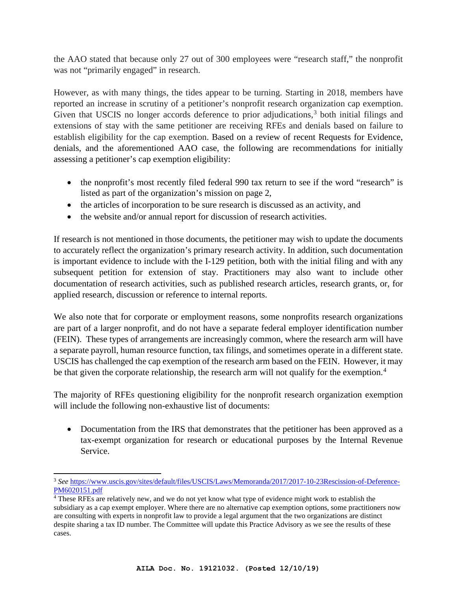the AAO stated that because only 27 out of 300 employees were "research staff," the nonprofit was not "primarily engaged" in research.

However, as with many things, the tides appear to be turning. Starting in 2018, members have reported an increase in scrutiny of a petitioner's nonprofit research organization cap exemption. Given that USCIS no longer accords deference to prior adjudications, $3$  both initial filings and extensions of stay with the same petitioner are receiving RFEs and denials based on failure to establish eligibility for the cap exemption. Based on a review of recent Requests for Evidence, denials, and the aforementioned AAO case, the following are recommendations for initially assessing a petitioner's cap exemption eligibility:

- the nonprofit's most recently filed federal 990 tax return to see if the word "research" is listed as part of the organization's mission on page 2,
- the articles of incorporation to be sure research is discussed as an activity, and
- the website and/or annual report for discussion of research activities.

If research is not mentioned in those documents, the petitioner may wish to update the documents to accurately reflect the organization's primary research activity. In addition, such documentation is important evidence to include with the I-129 petition, both with the initial filing and with any subsequent petition for extension of stay. Practitioners may also want to include other documentation of research activities, such as published research articles, research grants, or, for applied research, discussion or reference to internal reports.

We also note that for corporate or employment reasons, some nonprofits research organizations are part of a larger nonprofit, and do not have a separate federal employer identification number (FEIN). These types of arrangements are increasingly common, where the research arm will have a separate payroll, human resource function, tax filings, and sometimes operate in a different state. USCIS has challenged the cap exemption of the research arm based on the FEIN. However, it may be that given the corporate relationship, the research arm will not qualify for the exemption.<sup>[4](#page-1-1)</sup>

The majority of RFEs questioning eligibility for the nonprofit research organization exemption will include the following non-exhaustive list of documents:

• Documentation from the IRS that demonstrates that the petitioner has been approved as a tax-exempt organization for research or educational purposes by the Internal Revenue Service.

<span id="page-1-0"></span><sup>3</sup> *See* [https://www.uscis.gov/sites/default/files/USCIS/Laws/Memoranda/2017/2017-10-23Rescission-of-Deference-](https://www.uscis.gov/sites/default/files/USCIS/Laws/Memoranda/2017/2017-10-23Rescission-of-Deference-PM6020151.pdf)[PM6020151.pdf](https://www.uscis.gov/sites/default/files/USCIS/Laws/Memoranda/2017/2017-10-23Rescission-of-Deference-PM6020151.pdf)

<span id="page-1-1"></span><sup>4</sup> These RFEs are relatively new, and we do not yet know what type of evidence might work to establish the subsidiary as a cap exempt employer. Where there are no alternative cap exemption options, some practitioners now are consulting with experts in nonprofit law to provide a legal argument that the two organizations are distinct despite sharing a tax ID number. The Committee will update this Practice Advisory as we see the results of these cases.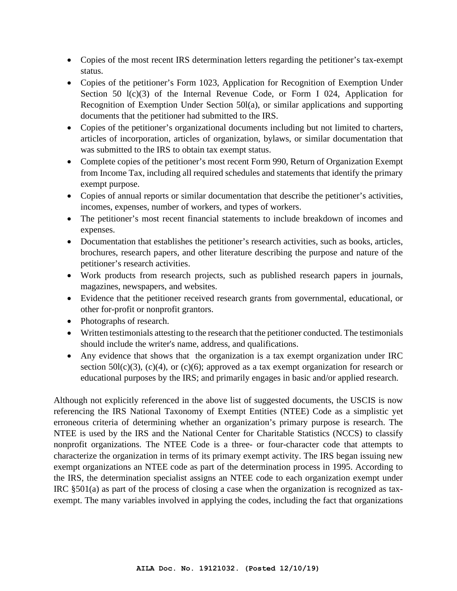- Copies of the most recent IRS determination letters regarding the petitioner's tax-exempt status.
- Copies of the petitioner's Form 1023, Application for Recognition of Exemption Under Section 50 l(c)(3) of the Internal Revenue Code, or Form I 024, Application for Recognition of Exemption Under Section 50l(a), or similar applications and supporting documents that the petitioner had submitted to the IRS.
- Copies of the petitioner's organizational documents including but not limited to charters, articles of incorporation, articles of organization, bylaws, or similar documentation that was submitted to the IRS to obtain tax exempt status.
- Complete copies of the petitioner's most recent Form 990, Return of Organization Exempt from Income Tax, including all required schedules and statements that identify the primary exempt purpose.
- Copies of annual reports or similar documentation that describe the petitioner's activities, incomes, expenses, number of workers, and types of workers.
- The petitioner's most recent financial statements to include breakdown of incomes and expenses.
- Documentation that establishes the petitioner's research activities, such as books, articles, brochures, research papers, and other literature describing the purpose and nature of the petitioner's research activities.
- Work products from research projects, such as published research papers in journals, magazines, newspapers, and websites.
- Evidence that the petitioner received research grants from governmental, educational, or other for-profit or nonprofit grantors.
- Photographs of research.
- Written testimonials attesting to the research that the petitioner conducted. The testimonials should include the writer's name, address, and qualifications.
- Any evidence that shows that the organization is a tax exempt organization under IRC section  $50l(c)(3)$ ,  $(c)(4)$ , or  $(c)(6)$ ; approved as a tax exempt organization for research or educational purposes by the IRS; and primarily engages in basic and/or applied research.

Although not explicitly referenced in the above list of suggested documents, the USCIS is now referencing the IRS National Taxonomy of Exempt Entities (NTEE) Code as a simplistic yet erroneous criteria of determining whether an organization's primary purpose is research. The NTEE is used by the IRS and the National Center for Charitable Statistics (NCCS) to classify nonprofit organizations. The NTEE Code is a three- or four-character code that attempts to characterize the organization in terms of its primary exempt activity. The IRS began issuing new exempt organizations an NTEE code as part of the determination process in 1995. According to the IRS, the determination specialist assigns an NTEE code to each organization exempt under IRC §501(a) as part of the process of closing a case when the organization is recognized as taxexempt. The many variables involved in applying the codes, including the fact that organizations